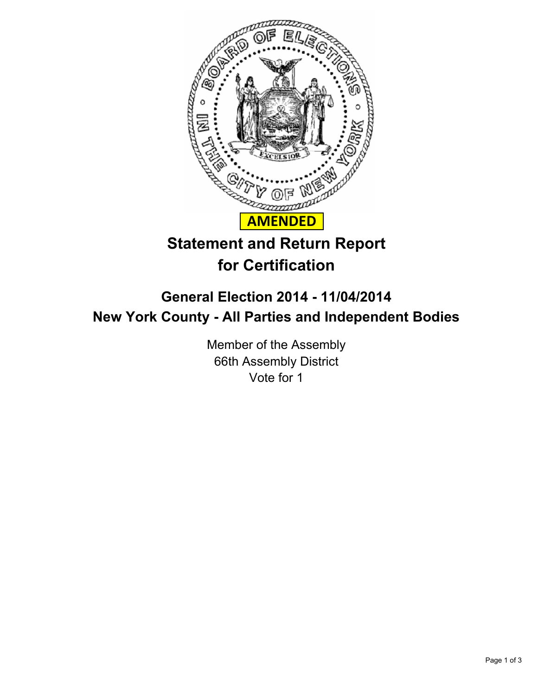

## **Statement and Return Report for Certification**

## **General Election 2014 - 11/04/2014 New York County - All Parties and Independent Bodies**

Member of the Assembly 66th Assembly District Vote for 1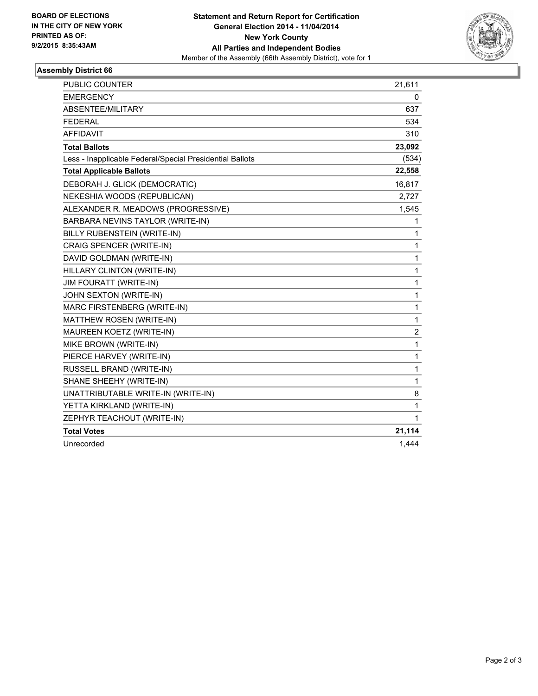

## **Assembly District 66**

| PUBLIC COUNTER                                           | 21,611                  |
|----------------------------------------------------------|-------------------------|
| <b>EMERGENCY</b>                                         | 0                       |
| ABSENTEE/MILITARY                                        | 637                     |
| <b>FEDERAL</b>                                           | 534                     |
| <b>AFFIDAVIT</b>                                         | 310                     |
| <b>Total Ballots</b>                                     | 23,092                  |
| Less - Inapplicable Federal/Special Presidential Ballots | (534)                   |
| <b>Total Applicable Ballots</b>                          | 22,558                  |
| DEBORAH J. GLICK (DEMOCRATIC)                            | 16,817                  |
| NEKESHIA WOODS (REPUBLICAN)                              | 2,727                   |
| ALEXANDER R. MEADOWS (PROGRESSIVE)                       | 1,545                   |
| BARBARA NEVINS TAYLOR (WRITE-IN)                         | 1                       |
| BILLY RUBENSTEIN (WRITE-IN)                              | 1                       |
| <b>CRAIG SPENCER (WRITE-IN)</b>                          | 1                       |
| DAVID GOLDMAN (WRITE-IN)                                 | 1                       |
| HILLARY CLINTON (WRITE-IN)                               | 1                       |
| <b>JIM FOURATT (WRITE-IN)</b>                            | 1                       |
| JOHN SEXTON (WRITE-IN)                                   | 1                       |
| MARC FIRSTENBERG (WRITE-IN)                              | 1                       |
| MATTHEW ROSEN (WRITE-IN)                                 | 1                       |
| MAUREEN KOETZ (WRITE-IN)                                 | $\overline{\mathbf{c}}$ |
| MIKE BROWN (WRITE-IN)                                    | 1                       |
| PIERCE HARVEY (WRITE-IN)                                 | 1                       |
| RUSSELL BRAND (WRITE-IN)                                 | 1                       |
| SHANE SHEEHY (WRITE-IN)                                  | 1                       |
| UNATTRIBUTABLE WRITE-IN (WRITE-IN)                       | 8                       |
| YETTA KIRKLAND (WRITE-IN)                                | 1                       |
| ZEPHYR TEACHOUT (WRITE-IN)                               | 1                       |
| <b>Total Votes</b>                                       | 21,114                  |
| Unrecorded                                               | 1,444                   |